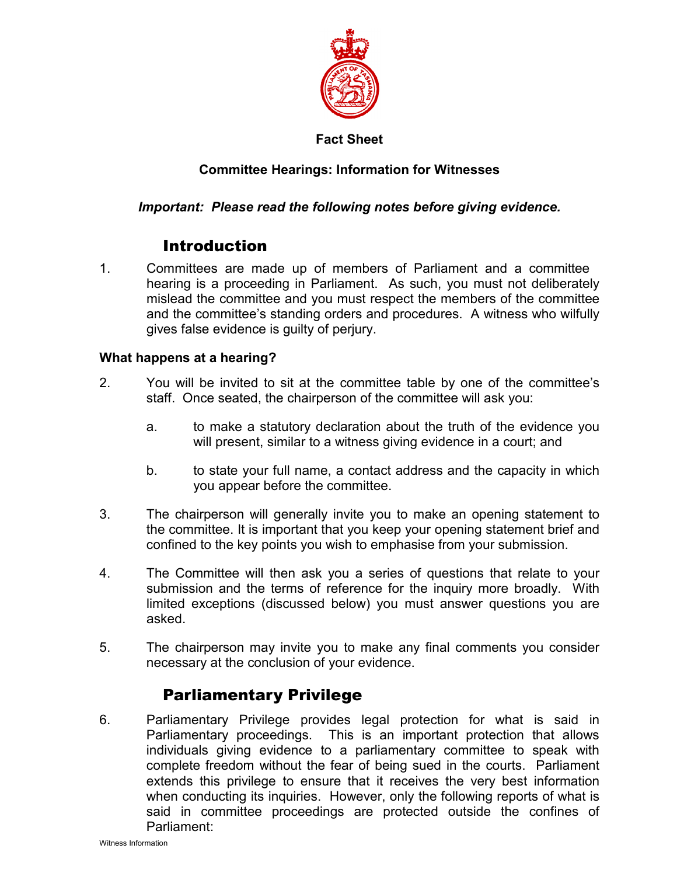

### **Fact Sheet**

## **Committee Hearings: Information for Witnesses**

## *Important: Please read the following notes before giving evidence.*

# Introduction

1. Committees are made up of members of Parliament and a committee hearing is a proceeding in Parliament. As such, you must not deliberately mislead the committee and you must respect the members of the committee and the committee's standing orders and procedures. A witness who wilfully gives false evidence is guilty of perjury.

### **What happens at a hearing?**

- 2. You will be invited to sit at the committee table by one of the committee's staff. Once seated, the chairperson of the committee will ask you:
	- a. to make a statutory declaration about the truth of the evidence you will present, similar to a witness giving evidence in a court; and
	- b. to state your full name, a contact address and the capacity in which you appear before the committee.
- 3. The chairperson will generally invite you to make an opening statement to the committee. It is important that you keep your opening statement brief and confined to the key points you wish to emphasise from your submission.
- 4. The Committee will then ask you a series of questions that relate to your submission and the terms of reference for the inquiry more broadly. With limited exceptions (discussed below) you must answer questions you are asked.
- 5. The chairperson may invite you to make any final comments you consider necessary at the conclusion of your evidence.

# Parliamentary Privilege

6. Parliamentary Privilege provides legal protection for what is said in Parliamentary proceedings. This is an important protection that allows individuals giving evidence to a parliamentary committee to speak with complete freedom without the fear of being sued in the courts. Parliament extends this privilege to ensure that it receives the very best information when conducting its inquiries. However, only the following reports of what is said in committee proceedings are protected outside the confines of Parliament: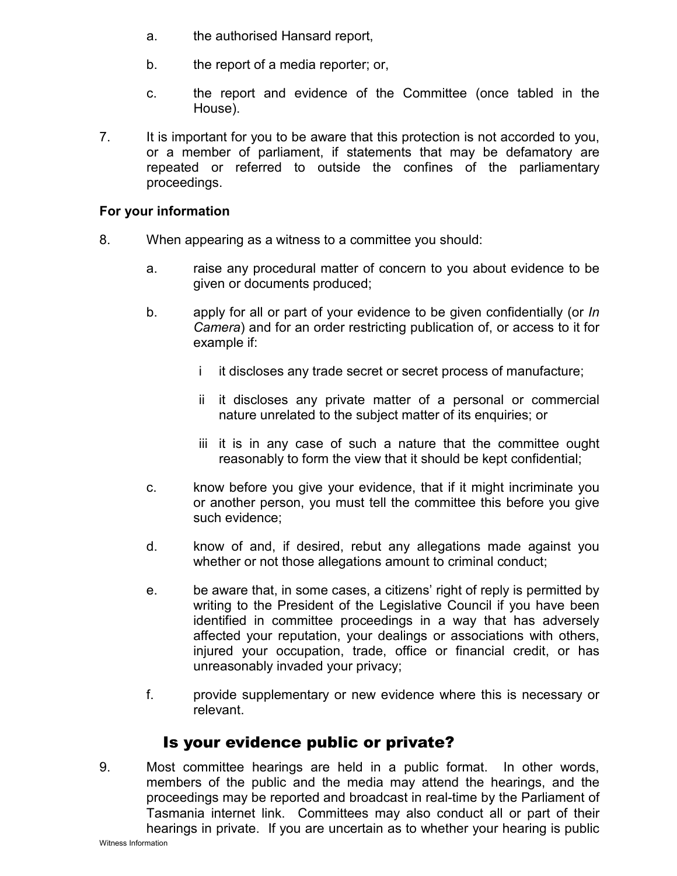- a. the authorised Hansard report,
- b. the report of a media reporter; or,
- c. the report and evidence of the Committee (once tabled in the House).
- 7. It is important for you to be aware that this protection is not accorded to you, or a member of parliament, if statements that may be defamatory are repeated or referred to outside the confines of the parliamentary proceedings.

#### **For your information**

- 8. When appearing as a witness to a committee you should:
	- a. raise any procedural matter of concern to you about evidence to be given or documents produced;
	- b. apply for all or part of your evidence to be given confidentially (or *In Camera*) and for an order restricting publication of, or access to it for example if:
		- i it discloses any trade secret or secret process of manufacture;
		- ii it discloses any private matter of a personal or commercial nature unrelated to the subject matter of its enquiries; or
		- iii it is in any case of such a nature that the committee ought reasonably to form the view that it should be kept confidential;
	- c. know before you give your evidence, that if it might incriminate you or another person, you must tell the committee this before you give such evidence;
	- d. know of and, if desired, rebut any allegations made against you whether or not those allegations amount to criminal conduct;
	- e. be aware that, in some cases, a citizens' right of reply is permitted by writing to the President of the Legislative Council if you have been identified in committee proceedings in a way that has adversely affected your reputation, your dealings or associations with others, injured your occupation, trade, office or financial credit, or has unreasonably invaded your privacy;
	- f. provide supplementary or new evidence where this is necessary or relevant.

# Is your evidence public or private?

9. Most committee hearings are held in a public format. In other words, members of the public and the media may attend the hearings, and the proceedings may be reported and broadcast in real-time by the Parliament of Tasmania internet link. Committees may also conduct all or part of their hearings in private. If you are uncertain as to whether your hearing is public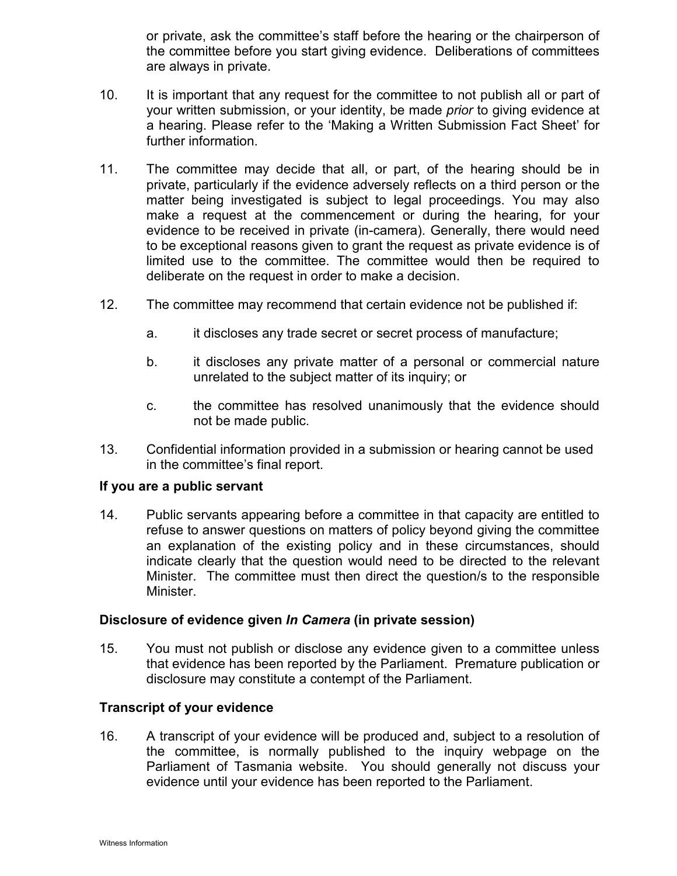or private, ask the committee's staff before the hearing or the chairperson of the committee before you start giving evidence. Deliberations of committees are always in private.

- 10. It is important that any request for the committee to not publish all or part of your written submission, or your identity, be made *prior* to giving evidence at a hearing. Please refer to the 'Making a Written Submission Fact Sheet' for further information.
- 11. The committee may decide that all, or part, of the hearing should be in private, particularly if the evidence adversely reflects on a third person or the matter being investigated is subject to legal proceedings. You may also make a request at the commencement or during the hearing, for your evidence to be received in private (in-camera). Generally, there would need to be exceptional reasons given to grant the request as private evidence is of limited use to the committee. The committee would then be required to deliberate on the request in order to make a decision.
- 12. The committee may recommend that certain evidence not be published if:
	- a. it discloses any trade secret or secret process of manufacture;
	- b. it discloses any private matter of a personal or commercial nature unrelated to the subject matter of its inquiry; or
	- c. the committee has resolved unanimously that the evidence should not be made public.
- 13. Confidential information provided in a submission or hearing cannot be used in the committee's final report.

#### **If you are a public servant**

14. Public servants appearing before a committee in that capacity are entitled to refuse to answer questions on matters of policy beyond giving the committee an explanation of the existing policy and in these circumstances, should indicate clearly that the question would need to be directed to the relevant Minister. The committee must then direct the question/s to the responsible Minister.

#### **Disclosure of evidence given** *In Camera* **(in private session)**

15. You must not publish or disclose any evidence given to a committee unless that evidence has been reported by the Parliament. Premature publication or disclosure may constitute a contempt of the Parliament.

#### **Transcript of your evidence**

16. A transcript of your evidence will be produced and, subject to a resolution of the committee, is normally published to the inquiry webpage on the Parliament of Tasmania website. You should generally not discuss your evidence until your evidence has been reported to the Parliament.